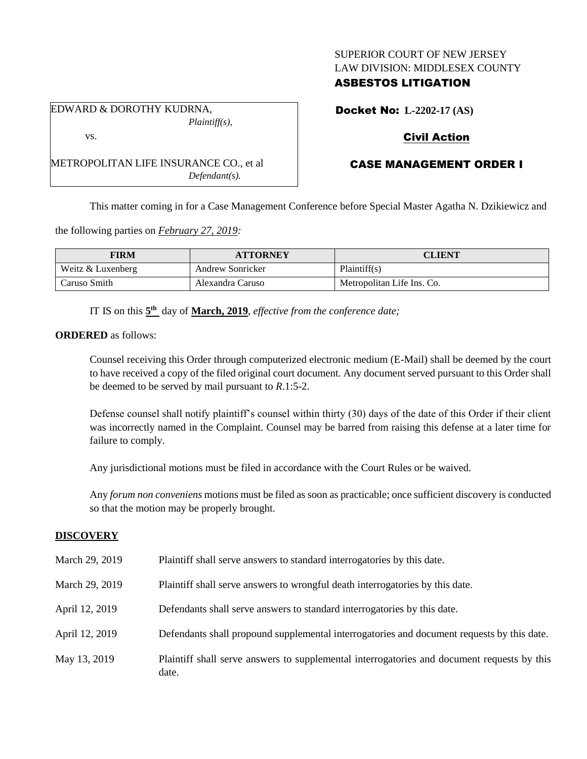## SUPERIOR COURT OF NEW JERSEY LAW DIVISION: MIDDLESEX COUNTY

## ASBESTOS LITIGATION

Docket No: **L-2202-17 (AS)**

# Civil Action

# CASE MANAGEMENT ORDER I

This matter coming in for a Case Management Conference before Special Master Agatha N. Dzikiewicz and

the following parties on *February 27, 2019:*

| FIRM              | <b>ATTORNEY</b>  | CLIENT                     |
|-------------------|------------------|----------------------------|
| Weitz & Luxenberg | Andrew Sonricker | Plaintiff(s)               |
| Caruso Smith      | Alexandra Caruso | Metropolitan Life Ins. Co. |

IT IS on this  $5<sup>th</sup>$  day of **March, 2019**, *effective from the conference date*;

**ORDERED** as follows:

Counsel receiving this Order through computerized electronic medium (E-Mail) shall be deemed by the court to have received a copy of the filed original court document. Any document served pursuant to this Order shall be deemed to be served by mail pursuant to *R*.1:5-2.

Defense counsel shall notify plaintiff's counsel within thirty (30) days of the date of this Order if their client was incorrectly named in the Complaint. Counsel may be barred from raising this defense at a later time for failure to comply.

Any jurisdictional motions must be filed in accordance with the Court Rules or be waived.

Any *forum non conveniens* motions must be filed as soon as practicable; once sufficient discovery is conducted so that the motion may be properly brought.

#### **DISCOVERY**

| March 29, 2019 | Plaintiff shall serve answers to standard interrogatories by this date.                              |
|----------------|------------------------------------------------------------------------------------------------------|
| March 29, 2019 | Plaintiff shall serve answers to wrongful death interrogatories by this date.                        |
| April 12, 2019 | Defendants shall serve answers to standard interrogatories by this date.                             |
| April 12, 2019 | Defendants shall propound supplemental interrogatories and document requests by this date.           |
| May 13, 2019   | Plaintiff shall serve answers to supplemental interrogatories and document requests by this<br>date. |

*Plaintiff(s),* vs.

EDWARD & DOROTHY KUDRNA,

METROPOLITAN LIFE INSURANCE CO., et al *Defendant(s).*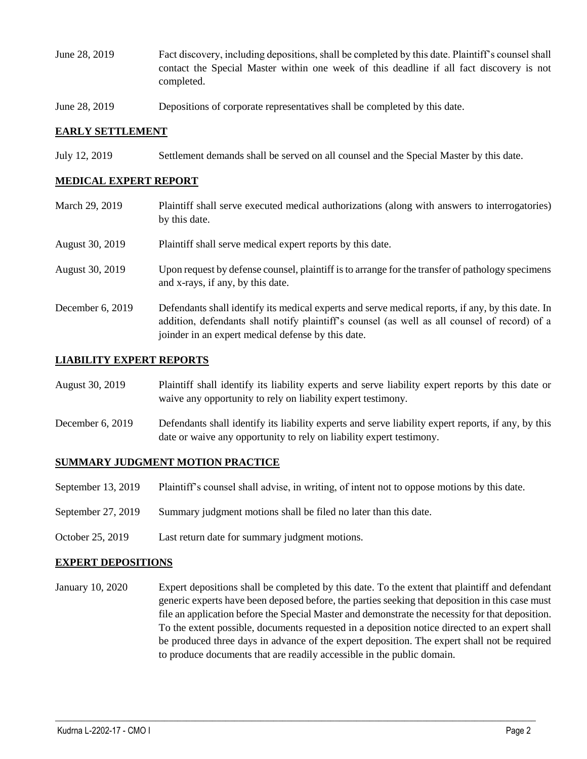- June 28, 2019 Fact discovery, including depositions, shall be completed by this date. Plaintiff's counsel shall contact the Special Master within one week of this deadline if all fact discovery is not completed.
- June 28, 2019 Depositions of corporate representatives shall be completed by this date.

### **EARLY SETTLEMENT**

July 12, 2019 Settlement demands shall be served on all counsel and the Special Master by this date.

### **MEDICAL EXPERT REPORT**

March 29, 2019 Plaintiff shall serve executed medical authorizations (along with answers to interrogatories) by this date. August 30, 2019 Plaintiff shall serve medical expert reports by this date. August 30, 2019 Upon request by defense counsel, plaintiff is to arrange for the transfer of pathology specimens and x-rays, if any, by this date. December 6, 2019 Defendants shall identify its medical experts and serve medical reports, if any, by this date. In addition, defendants shall notify plaintiff's counsel (as well as all counsel of record) of a joinder in an expert medical defense by this date.

### **LIABILITY EXPERT REPORTS**

| August 30, 2019 | Plaintiff shall identify its liability experts and serve liability expert reports by this date or |
|-----------------|---------------------------------------------------------------------------------------------------|
|                 | waive any opportunity to rely on liability expert testimony.                                      |

December 6, 2019 Defendants shall identify its liability experts and serve liability expert reports, if any, by this date or waive any opportunity to rely on liability expert testimony.

#### **SUMMARY JUDGMENT MOTION PRACTICE**

- September 13, 2019 Plaintiff's counsel shall advise, in writing, of intent not to oppose motions by this date.
- September 27, 2019 Summary judgment motions shall be filed no later than this date.
- October 25, 2019 Last return date for summary judgment motions.

#### **EXPERT DEPOSITIONS**

January 10, 2020 Expert depositions shall be completed by this date. To the extent that plaintiff and defendant generic experts have been deposed before, the parties seeking that deposition in this case must file an application before the Special Master and demonstrate the necessity for that deposition. To the extent possible, documents requested in a deposition notice directed to an expert shall be produced three days in advance of the expert deposition. The expert shall not be required to produce documents that are readily accessible in the public domain.

 $\_$  ,  $\_$  ,  $\_$  ,  $\_$  ,  $\_$  ,  $\_$  ,  $\_$  ,  $\_$  ,  $\_$  ,  $\_$  ,  $\_$  ,  $\_$  ,  $\_$  ,  $\_$  ,  $\_$  ,  $\_$  ,  $\_$  ,  $\_$  ,  $\_$  ,  $\_$  ,  $\_$  ,  $\_$  ,  $\_$  ,  $\_$  ,  $\_$  ,  $\_$  ,  $\_$  ,  $\_$  ,  $\_$  ,  $\_$  ,  $\_$  ,  $\_$  ,  $\_$  ,  $\_$  ,  $\_$  ,  $\_$  ,  $\_$  ,